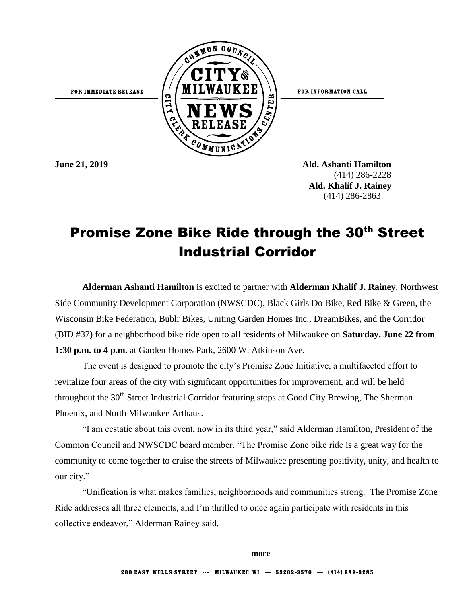FOR IMMEDIATE RELEASE



FOR INFORMATION CALL

**June 21, 2019 Ald. Ashanti Hamilton** (414) 286-2228  **Ald. Khalif J. Rainey**  (414) 286-2863

## Promise Zone Bike Ride through the 30th Street Industrial Corridor

**Alderman Ashanti Hamilton** is excited to partner with **Alderman Khalif J. Rainey**, Northwest Side Community Development Corporation (NWSCDC), Black Girls Do Bike, Red Bike & Green, the Wisconsin Bike Federation, Bublr Bikes, Uniting Garden Homes Inc., DreamBikes, and the Corridor (BID #37) for a neighborhood bike ride open to all residents of Milwaukee on **Saturday, June 22 from 1:30 p.m. to 4 p.m.** at Garden Homes Park, 2600 W. Atkinson Ave.

The event is designed to promote the city's Promise Zone Initiative, a multifaceted effort to revitalize four areas of the city with significant opportunities for improvement, and will be held throughout the  $30<sup>th</sup>$  Street Industrial Corridor featuring stops at Good City Brewing, The Sherman Phoenix, and North Milwaukee Arthaus.

"I am ecstatic about this event, now in its third year," said Alderman Hamilton, President of the Common Council and NWSCDC board member. "The Promise Zone bike ride is a great way for the community to come together to cruise the streets of Milwaukee presenting positivity, unity, and health to our city."

"Unification is what makes families, neighborhoods and communities strong. The Promise Zone Ride addresses all three elements, and I'm thrilled to once again participate with residents in this collective endeavor," Alderman Rainey said.

**-more-**